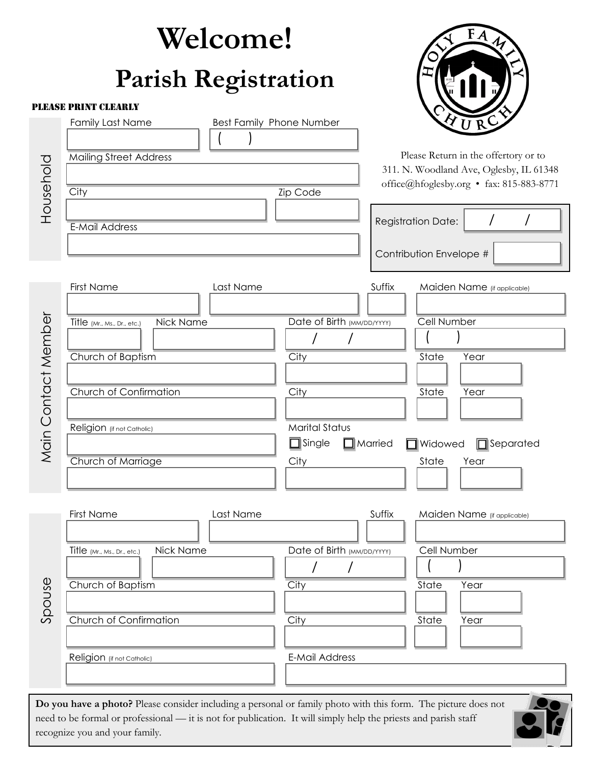|                     | Welcome!                                                                                                                                                                                                                                                            |                                                                                              |                                                                                                                                                                                                    |
|---------------------|---------------------------------------------------------------------------------------------------------------------------------------------------------------------------------------------------------------------------------------------------------------------|----------------------------------------------------------------------------------------------|----------------------------------------------------------------------------------------------------------------------------------------------------------------------------------------------------|
|                     | <b>Parish Registration</b>                                                                                                                                                                                                                                          |                                                                                              |                                                                                                                                                                                                    |
|                     | <b>PLEASE PRINT CLEARLY</b>                                                                                                                                                                                                                                         |                                                                                              |                                                                                                                                                                                                    |
| Household           | <b>Family Last Name</b><br><b>Mailing Street Address</b><br>City<br><b>E-Mail Address</b>                                                                                                                                                                           | Best Family Phone Number<br><b>Zip Code</b>                                                  | <b>YURC</b><br>Please Return in the offertory or to<br>311. N. Woodland Ave, Oglesby, IL 61348<br>office@hfoglesby.org • fax: 815-883-8771<br><b>Registration Date:</b><br>Contribution Envelope # |
| Main Contact Member | <b>First Name</b><br>Last Name<br>Nick Name<br>Title (Mr., Ms., Dr., etc.)<br>Church of Baptism<br>Church of Confirmation<br>Religion (if not Catholic)<br>Church of Marriage                                                                                       | Date of Birth (MM/DD/YYYY)<br>City<br>City<br><b>Marital Status</b><br>$\Box$ Single<br>City | Suffix<br>Maiden Name (if applicable)<br>Cell Number<br>State<br>Year<br>State<br>Year<br>$\Box$ Separated<br>$\Box$ Married<br>$\Box$ Widowed<br>State<br>Year                                    |
| Spouse              | First Name<br>Last Name<br>Nick Name<br>Title (Mr., Ms., Dr., etc.)<br>Church of Baptism<br>Church of Confirmation<br>Religion (if not Catholic)                                                                                                                    | Date of Birth (MM/DD/YYYY)<br>City<br>City<br>E-Mail Address                                 | Suffix<br>Maiden Name (if applicable)<br>Cell Number<br>State<br>Year<br>State<br>Year                                                                                                             |
|                     | Do you have a photo? Please consider including a personal or family photo with this form. The picture does not<br>need to be formal or professional — it is not for publication. It will simply help the priests and parish staff<br>recognize you and your family. |                                                                                              |                                                                                                                                                                                                    |

| recognize you and your family. |  |
|--------------------------------|--|